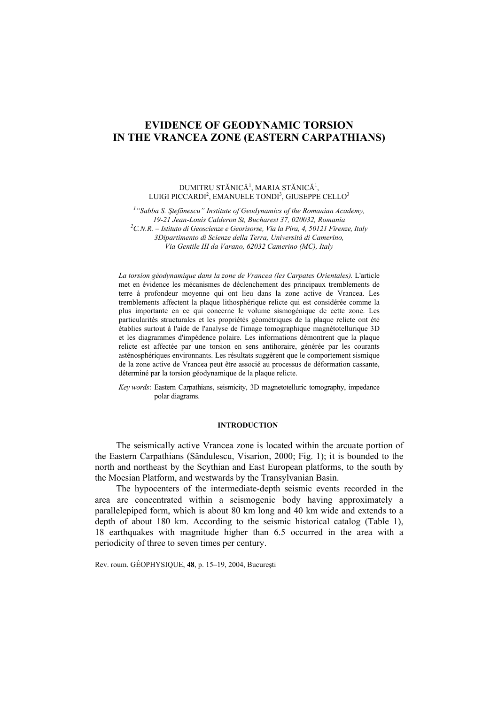# **EVIDENCE OF GEODYNAMIC TORSION IN THE VRANCEA ZONE (EASTERN CARPATHIANS)**

DUMITRU STĂNICĂ<sup>1</sup>, MARIA STĂNICĂ<sup>1</sup>, LUIGI PICCARDI $^2$ , EMANUELE TONDI $^3$ , GIUSEPPE CELLO $^3$ 

<sup>1</sup> "Sabba S. Ștefănescu" Institute of Geodynamics of the Romanian Academy, *19-21 Jean-Louis Calderon St, Bucharest 37, 020032, Romania 2 C.N.R. – Istituto di Geoscienze e Georisorse, Via la Pira, 4, 50121 Firenze, Italy 3Dipartimento di Scienze della Terra, Università di Camerino, Via Gentile III da Varano, 62032 Camerino (MC), Italy* 

*La torsion géodynamique dans la zone de Vrancea (les Carpates Orientales).* L'article met en évidence les mécanismes de déclenchement des principaux tremblements de terre à profondeur moyenne qui ont lieu dans la zone active de Vrancea. Les tremblements affectent la plaque lithosphérique relicte qui est considérée comme la plus importante en ce qui concerne le volume sismogénique de cette zone. Les particularités structurales et les propriétés géométriques de la plaque relicte ont été établies surtout à l'aide de l'analyse de l'image tomographique magnétotellurique 3D et les diagrammes d'impédence polaire. Les informations démontrent que la plaque relicte est affectée par une torsion en sens antihoraire, générée par les courants asténosphériques environnants. Les résultats suggèrent que le comportement sismique de la zone active de Vrancea peut être associé au processus de déformation cassante, déterminé par la torsion géodynamique de la plaque relicte.

*Key words*: Eastern Carpathians, seismicity, 3D magnetotelluric tomography, impedance polar diagrams.

## **INTRODUCTION<sup>1</sup>**

The seismically active Vrancea zone is located within the arcuate portion of the Eastern Carpathians (Săndulescu, Visarion, 2000; Fig. 1); it is bounded to the north and northeast by the Scythian and East European platforms, to the south by the Moesian Platform, and westwards by the Transylvanian Basin.

The hypocenters of the intermediate-depth seismic events recorded in the area are concentrated within a seismogenic body having approximately a parallelepiped form, which is about 80 km long and 40 km wide and extends to a depth of about 180 km. According to the seismic historical catalog (Table 1), 18 earthquakes with magnitude higher than 6.5 occurred in the area with a periodicity of three to seven times per century.

Rev. roum. GÉOPHYSIQUE, **48**, p. 15–19, 2004, Bucureşti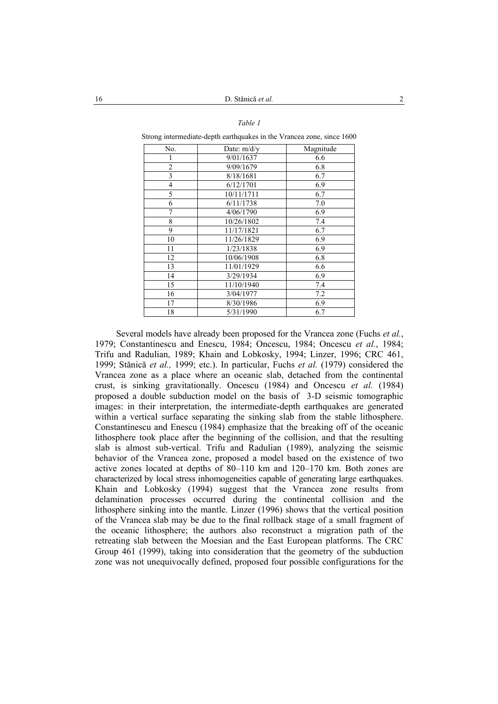## *Table 1*

Strong intermediate-depth earthquakes in the Vrancea zone, since 1600

| No.            | Date: m/d/y | Magnitude |
|----------------|-------------|-----------|
|                | 9/01/1637   | 6.6       |
| $\overline{2}$ | 9/09/1679   | 6.8       |
| 3              | 8/18/1681   | 6.7       |
| 4              | 6/12/1701   | 6.9       |
| 5              | 10/11/1711  | 6.7       |
| 6              | 6/11/1738   | 7.0       |
| 7              | 4/06/1790   | 6.9       |
| 8              | 10/26/1802  | 7.4       |
| 9              | 11/17/1821  | 6.7       |
| 10             | 11/26/1829  | 6.9       |
| 11             | 1/23/1838   | 6.9       |
| 12             | 10/06/1908  | 6.8       |
| 13             | 11/01/1929  | 6.6       |
| 14             | 3/29/1934   | 6.9       |
| 15             | 11/10/1940  | 7.4       |
| 16             | 3/04/1977   | 7.2       |
| 17             | 8/30/1986   | 6.9       |
| 18             | 5/31/1990   | 6.7       |

Several models have already been proposed for the Vrancea zone (Fuchs *et al.*, 1979; Constantinescu and Enescu, 1984; Oncescu, 1984; Oncescu *et al.*, 1984; Trifu and Radulian, 1989; Khain and Lobkosky, 1994; Linzer, 1996; CRC 461, 1999; Stănică *et al.,* 1999; etc.). In particular, Fuchs *et al.* (1979) considered the Vrancea zone as a place where an oceanic slab, detached from the continental crust, is sinking gravitationally. Oncescu (1984) and Oncescu *et al.* (1984) proposed a double subduction model on the basis of 3-D seismic tomographic images: in their interpretation, the intermediate-depth earthquakes are generated within a vertical surface separating the sinking slab from the stable lithosphere. Constantinescu and Enescu (1984) emphasize that the breaking off of the oceanic lithosphere took place after the beginning of the collision, and that the resulting slab is almost sub-vertical. Trifu and Radulian (1989), analyzing the seismic behavior of the Vrancea zone, proposed a model based on the existence of two active zones located at depths of 80–110 km and 120–170 km. Both zones are characterized by local stress inhomogeneities capable of generating large earthquakes. Khain and Lobkosky (1994) suggest that the Vrancea zone results from delamination processes occurred during the continental collision and the lithosphere sinking into the mantle. Linzer (1996) shows that the vertical position of the Vrancea slab may be due to the final rollback stage of a small fragment of the oceanic lithosphere; the authors also reconstruct a migration path of the retreating slab between the Moesian and the East European platforms. The CRC Group 461 (1999), taking into consideration that the geometry of the subduction zone was not unequivocally defined, proposed four possible configurations for the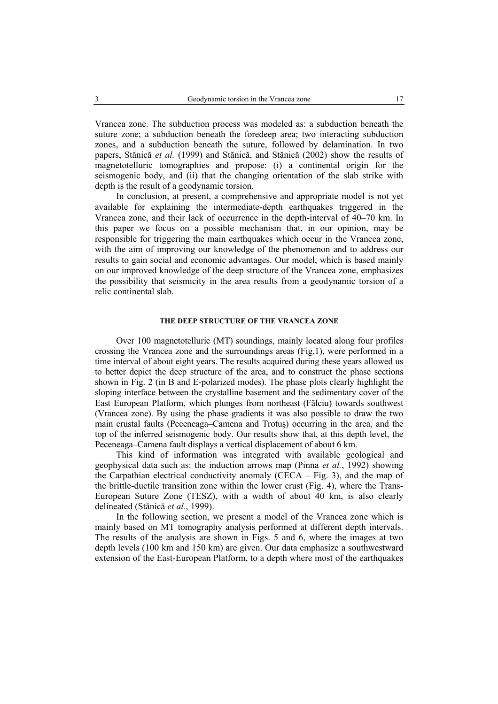Vrancea zone. The subduction process was modeled as: a subduction beneath the suture zone; a subduction beneath the foredeep area; two interacting subduction zones, and a subduction beneath the suture, followed by delamination. In two papers, Stănică *et al.* (1999) and Stănică, and Stănică (2002) show the results of magnetotelluric tomographies and propose: (i) a continental origin for the seismogenic body, and (ii) that the changing orientation of the slab strike with depth is the result of a geodynamic torsion.

In conclusion, at present, a comprehensive and appropriate model is not yet available for explaining the intermediate-depth earthquakes triggered in the Vrancea zone, and their lack of occurrence in the depth-interval of 40–70 km. In this paper we focus on a possible mechanism that, in our opinion, may be responsible for triggering the main earthquakes which occur in the Vrancea zone, with the aim of improving our knowledge of the phenomenon and to address our results to gain social and economic advantages. Our model, which is based mainly on our improved knowledge of the deep structure of the Vrancea zone, emphasizes the possibility that seismicity in the area results from a geodynamic torsion of a relic continental slab.

#### **THE DEEP STRUCTURE OF THE VRANCEA ZONE**

Over 100 magnetotelluric (MT) soundings, mainly located along four profiles crossing the Vrancea zone and the surroundings areas (Fig.1), were performed in a time interval of about eight years. The results acquired during these years allowed us to better depict the deep structure of the area, and to construct the phase sections shown in Fig. 2 (in B and E-polarized modes). The phase plots clearly highlight the sloping interface between the crystalline basement and the sedimentary cover of the East European Platform, which plunges from northeast (Fălciu) towards southwest (Vrancea zone). By using the phase gradients it was also possible to draw the two main crustal faults (Peceneaga–Camena and Trotuş) occurring in the area, and the top of the inferred seismogenic body. Our results show that, at this depth level, the Peceneaga–Camena fault displays a vertical displacement of about 6 km.

This kind of information was integrated with available geological and geophysical data such as: the induction arrows map (Pinna *et al.*, 1992) showing the Carpathian electrical conductivity anomaly (CECA – Fig. 3), and the map of the brittle-ductile transition zone within the lower crust (Fig. 4), where the Trans-European Suture Zone (TESZ), with a width of about 40 km, is also clearly delineated (Stănică *et al.*, 1999).

In the following section, we present a model of the Vrancea zone which is mainly based on MT tomography analysis performed at different depth intervals. The results of the analysis are shown in Figs. 5 and 6, where the images at two depth levels (100 km and 150 km) are given. Our data emphasize a southwestward extension of the East-European Platform, to a depth where most of the earthquakes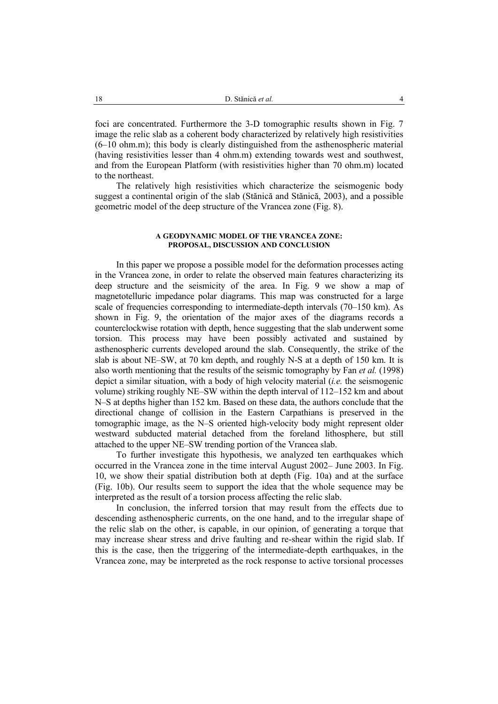foci are concentrated. Furthermore the 3-D tomographic results shown in Fig. 7 image the relic slab as a coherent body characterized by relatively high resistivities  $(6–10)$  ohm.m); this body is clearly distinguished from the asthenospheric material (having resistivities lesser than 4 ohm.m) extending towards west and southwest, and from the European Platform (with resistivities higher than 70 ohm.m) located to the northeast.

The relatively high resistivities which characterize the seismogenic body suggest a continental origin of the slab (Stănică and Stănică, 2003), and a possible geometric model of the deep structure of the Vrancea zone (Fig. 8).

### **A GEODYNAMIC MODEL OF THE VRANCEA ZONE: PROPOSAL, DISCUSSION AND CONCLUSION**

In this paper we propose a possible model for the deformation processes acting in the Vrancea zone, in order to relate the observed main features characterizing its deep structure and the seismicity of the area. In Fig. 9 we show a map of magnetotelluric impedance polar diagrams. This map was constructed for a large scale of frequencies corresponding to intermediate-depth intervals (70–150 km). As shown in Fig. 9, the orientation of the major axes of the diagrams records a counterclockwise rotation with depth, hence suggesting that the slab underwent some torsion. This process may have been possibly activated and sustained by asthenospheric currents developed around the slab. Consequently, the strike of the slab is about NE–SW, at 70 km depth, and roughly N-S at a depth of 150 km. It is also worth mentioning that the results of the seismic tomography by Fan *et al.* (1998) depict a similar situation, with a body of high velocity material (*i.e.* the seismogenic volume) striking roughly NE–SW within the depth interval of 112–152 km and about N–S at depths higher than 152 km. Based on these data, the authors conclude that the directional change of collision in the Eastern Carpathians is preserved in the tomographic image, as the N–S oriented high-velocity body might represent older westward subducted material detached from the foreland lithosphere, but still attached to the upper NE–SW trending portion of the Vrancea slab.

To further investigate this hypothesis, we analyzed ten earthquakes which occurred in the Vrancea zone in the time interval August 2002– June 2003. In Fig. 10, we show their spatial distribution both at depth (Fig. 10a) and at the surface (Fig. 10b). Our results seem to support the idea that the whole sequence may be interpreted as the result of a torsion process affecting the relic slab.

In conclusion, the inferred torsion that may result from the effects due to descending asthenospheric currents, on the one hand, and to the irregular shape of the relic slab on the other, is capable, in our opinion, of generating a torque that may increase shear stress and drive faulting and re-shear within the rigid slab. If this is the case, then the triggering of the intermediate-depth earthquakes, in the Vrancea zone, may be interpreted as the rock response to active torsional processes